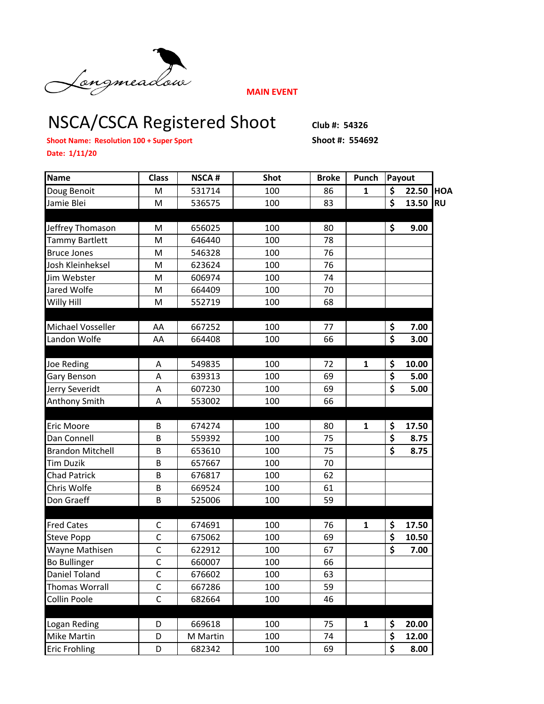

**MAIN EVENT**

## NSCA/CSCA Registered Shoot Club #: 54326

**Shoot Name: Resolution 100 + Super Sport Shoot #: 554692** 

**Date: 1/11/20**

| <b>Name</b>             | <b>Class</b> | <b>NSCA#</b> | <b>Shot</b> | <b>Broke</b> | Punch        | Payout                          |       |            |
|-------------------------|--------------|--------------|-------------|--------------|--------------|---------------------------------|-------|------------|
| Doug Benoit             | M            | 531714       | 100         | 86           | $\mathbf{1}$ | \$                              | 22.50 | <b>HOA</b> |
| Jamie Blei              | M            | 536575       | 100         | 83           |              | $\overline{\boldsymbol{\zeta}}$ | 13.50 | <b>RU</b>  |
|                         |              |              |             |              |              |                                 |       |            |
| Jeffrey Thomason        | M            | 656025       | 100         | 80           |              | \$                              | 9.00  |            |
| <b>Tammy Bartlett</b>   | M            | 646440       | 100         | 78           |              |                                 |       |            |
| <b>Bruce Jones</b>      | M            | 546328       | 100         | 76           |              |                                 |       |            |
| Josh Kleinheksel        | M            | 623624       | 100         | 76           |              |                                 |       |            |
| Jim Webster             | M            | 606974       | 100         | 74           |              |                                 |       |            |
| Jared Wolfe             | M            | 664409       | 100         | 70           |              |                                 |       |            |
| Willy Hill              | M            | 552719       | 100         | 68           |              |                                 |       |            |
|                         |              |              |             |              |              |                                 |       |            |
| Michael Vosseller       | AA           | 667252       | 100         | 77           |              | \$                              | 7.00  |            |
| Landon Wolfe            | AA           | 664408       | 100         | 66           |              | $\overline{\boldsymbol{\zeta}}$ | 3.00  |            |
|                         |              |              |             |              |              |                                 |       |            |
| <b>Joe Reding</b>       | А            | 549835       | 100         | 72           | $\mathbf{1}$ | \$                              | 10.00 |            |
| Gary Benson             | A            | 639313       | 100         | 69           |              | $\overline{\boldsymbol{\zeta}}$ | 5.00  |            |
| Jerry Severidt          | A            | 607230       | 100         | 69           |              | \$                              | 5.00  |            |
| Anthony Smith           | A            | 553002       | 100         | 66           |              |                                 |       |            |
|                         |              |              |             |              |              |                                 |       |            |
| Eric Moore              | B            | 674274       | 100         | 80           | 1            | \$                              | 17.50 |            |
| Dan Connell             | B            | 559392       | 100         | 75           |              | \$                              | 8.75  |            |
| <b>Brandon Mitchell</b> | B            | 653610       | 100         | 75           |              | \$                              | 8.75  |            |
| <b>Tim Duzik</b>        | B            | 657667       | 100         | 70           |              |                                 |       |            |
| <b>Chad Patrick</b>     | B            | 676817       | 100         | 62           |              |                                 |       |            |
| Chris Wolfe             | B            | 669524       | 100         | 61           |              |                                 |       |            |
| Don Graeff              | B            | 525006       | 100         | 59           |              |                                 |       |            |
|                         |              |              |             |              |              |                                 |       |            |
| <b>Fred Cates</b>       | C            | 674691       | 100         | 76           | 1            | \$                              | 17.50 |            |
| <b>Steve Popp</b>       | $\mathsf{C}$ | 675062       | 100         | 69           |              | \$                              | 10.50 |            |
| Wayne Mathisen          | $\mathsf{C}$ | 622912       | 100         | 67           |              | $\overline{\boldsymbol{\zeta}}$ | 7.00  |            |
| <b>Bo Bullinger</b>     | $\mathsf{C}$ | 660007       | 100         | 66           |              |                                 |       |            |
| Daniel Toland           | C            | 676602       | 100         | 63           |              |                                 |       |            |
| <b>Thomas Worrall</b>   | $\mathsf{C}$ | 667286       | 100         | 59           |              |                                 |       |            |
| Collin Poole            | $\mathsf{C}$ | 682664       | 100         | 46           |              |                                 |       |            |
|                         |              |              |             |              |              |                                 |       |            |
| Logan Reding            | D            | 669618       | 100         | 75           | $\mathbf 1$  | \$                              | 20.00 |            |
| Mike Martin             | D            | M Martin     | 100         | 74           |              | \$                              | 12.00 |            |
| <b>Eric Frohling</b>    | D            | 682342       | 100         | 69           |              | \$                              | 8.00  |            |